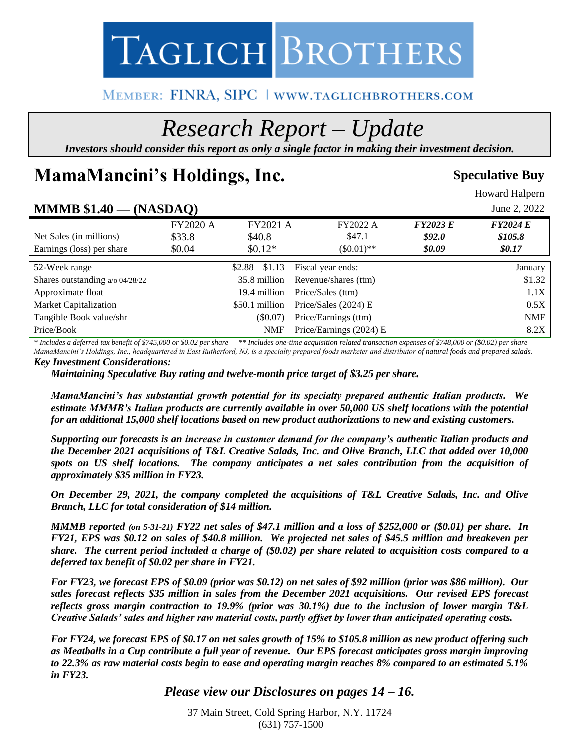

# MEMBER: FINRA, SIPC | WWW.TAGLICHBROTHERS.COM

# *Research Report – Update*

*Investors should consider this report as only a single factor in making their investment decision.*

# **MamaMancini's Holdings, Inc.** Speculative Buy

Howard Halpern

| $MMMB $1.40 - (NASDAO)$         |                 |                 |                         |                 | June 2, 2022    |
|---------------------------------|-----------------|-----------------|-------------------------|-----------------|-----------------|
|                                 | <b>FY2020 A</b> | FY2021 A        | FY2022 A                | <b>FY2023 E</b> | <b>FY2024 E</b> |
| Net Sales (in millions)         | \$33.8          | \$40.8          | \$47.1                  | \$92.0          | \$105.8\$       |
| Earnings (loss) per share       | \$0.04          | $$0.12*$        | $(\$0.01)**$            | \$0.09          | \$0.17          |
| 52-Week range                   |                 | $$2.88 - $1.13$ | Fiscal year ends:       |                 | January         |
| Shares outstanding a/o 04/28/22 |                 | 35.8 million    | Revenue/shares (ttm)    |                 | \$1.32          |
| Approximate float               |                 | 19.4 million    | Price/Sales (ttm)       |                 | 1.1X            |
| <b>Market Capitalization</b>    |                 | \$50.1 million  | Price/Sales $(2024)$ E  |                 | 0.5X            |
| Tangible Book value/shr         |                 | (S0.07)         | Price/Earnings (ttm)    |                 | <b>NMF</b>      |
| Price/Book                      |                 | NMF             | Price/Earnings (2024) E |                 | 8.2X            |

*\* Includes a deferred tax benefit of \$745,000 or \$0.02 per share \*\* Includes one-time acquisition related transaction expenses of \$748,000 or (\$0.02) per share MamaMancini's Holdings, Inc., headquartered in East Rutherford, NJ, is a specialty prepared foods marketer and distributor of natural foods and prepared salads.*

*Key Investment Considerations:*

*Maintaining Speculative Buy rating and twelve-month price target of \$3.25 per share.*

*MamaMancini's has substantial growth potential for its specialty prepared authentic Italian products. We estimate MMMB's Italian products are currently available in over 50,000 US shelf locations with the potential for an additional 15,000 shelf locations based on new product authorizations to new and existing customers.*

*Supporting our forecasts is an increase in customer demand for the company's authentic Italian products and the December 2021 acquisitions of T&L Creative Salads, Inc. and Olive Branch, LLC that added over 10,000 spots on US shelf locations. The company anticipates a net sales contribution from the acquisition of approximately \$35 million in FY23.*

*On December 29, 2021, the company completed the acquisitions of T&L Creative Salads, Inc. and Olive Branch, LLC for total consideration of \$14 million.* 

*MMMB reported (on 5-31-21) FY22 net sales of \$47.1 million and a loss of \$252,000 or (\$0.01) per share. In FY21, EPS was \$0.12 on sales of \$40.8 million. We projected net sales of \$45.5 million and breakeven per share. The current period included a charge of (\$0.02) per share related to acquisition costs compared to a deferred tax benefit of \$0.02 per share in FY21.* 

*For FY23, we forecast EPS of \$0.09 (prior was \$0.12) on net sales of \$92 million (prior was \$86 million). Our sales forecast reflects \$35 million in sales from the December 2021 acquisitions. Our revised EPS forecast reflects gross margin contraction to 19.9% (prior was 30.1%) due to the inclusion of lower margin T&L Creative Salads' sales and higher raw material costs, partly offset by lower than anticipated operating costs.*

*For FY24, we forecast EPS of \$0.17 on net sales growth of 15% to \$105.8 million as new product offering such as Meatballs in a Cup contribute a full year of revenue. Our EPS forecast anticipates gross margin improving to 22.3% as raw material costs begin to ease and operating margin reaches 8% compared to an estimated 5.1% in FY23.* 

*Please view our Disclosures on pages 14 – 16.* 

37 Main Street, Cold Spring Harbor, N.Y. 11724 (631) 757-1500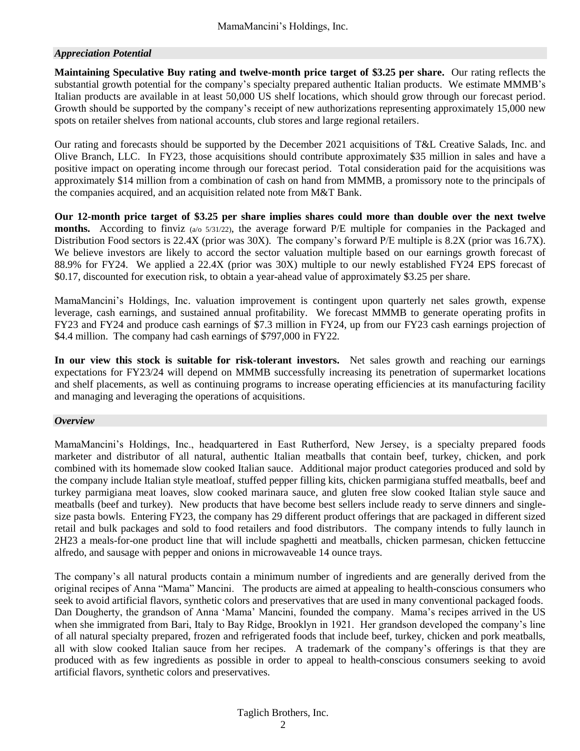### *Appreciation Potential*

**Maintaining Speculative Buy rating and twelve-month price target of \$3.25 per share.** Our rating reflects the substantial growth potential for the company's specialty prepared authentic Italian products. We estimate MMMB's Italian products are available in at least 50,000 US shelf locations, which should grow through our forecast period. Growth should be supported by the company's receipt of new authorizations representing approximately 15,000 new spots on retailer shelves from national accounts, club stores and large regional retailers.

Our rating and forecasts should be supported by the December 2021 acquisitions of T&L Creative Salads, Inc. and Olive Branch, LLC. In FY23, those acquisitions should contribute approximately \$35 million in sales and have a positive impact on operating income through our forecast period. Total consideration paid for the acquisitions was approximately \$14 million from a combination of cash on hand from MMMB, a promissory note to the principals of the companies acquired, and an acquisition related note from M&T Bank.

**Our 12-month price target of \$3.25 per share implies shares could more than double over the next twelve months.** According to finviz (a/o 5/31/22), the average forward P/E multiple for companies in the Packaged and Distribution Food sectors is 22.4X (prior was 30X). The company's forward P/E multiple is 8.2X (prior was 16.7X). We believe investors are likely to accord the sector valuation multiple based on our earnings growth forecast of 88.9% for FY24. We applied a 22.4X (prior was 30X) multiple to our newly established FY24 EPS forecast of \$0.17, discounted for execution risk, to obtain a year-ahead value of approximately \$3.25 per share.

MamaMancini's Holdings, Inc. valuation improvement is contingent upon quarterly net sales growth, expense leverage, cash earnings, and sustained annual profitability. We forecast MMMB to generate operating profits in FY23 and FY24 and produce cash earnings of \$7.3 million in FY24, up from our FY23 cash earnings projection of \$4.4 million. The company had cash earnings of \$797,000 in FY22.

**In our view this stock is suitable for risk-tolerant investors.** Net sales growth and reaching our earnings expectations for FY23/24 will depend on MMMB successfully increasing its penetration of supermarket locations and shelf placements, as well as continuing programs to increase operating efficiencies at its manufacturing facility and managing and leveraging the operations of acquisitions.

#### *Overview*

MamaMancini's Holdings, Inc., headquartered in East Rutherford, New Jersey, is a specialty prepared foods marketer and distributor of all natural, authentic Italian meatballs that contain beef, turkey, chicken, and pork combined with its homemade slow cooked Italian sauce. Additional major product categories produced and sold by the company include Italian style meatloaf, stuffed pepper filling kits, chicken parmigiana stuffed meatballs, beef and turkey parmigiana meat loaves, slow cooked marinara sauce, and gluten free slow cooked Italian style sauce and meatballs (beef and turkey). New products that have become best sellers include ready to serve dinners and singlesize pasta bowls. Entering FY23, the company has 29 different product offerings that are packaged in different sized retail and bulk packages and sold to food retailers and food distributors. The company intends to fully launch in 2H23 a meals-for-one product line that will include spaghetti and meatballs, chicken parmesan, chicken fettuccine alfredo, and sausage with pepper and onions in microwaveable 14 ounce trays.

The company's all natural products contain a minimum number of ingredients and are generally derived from the original recipes of Anna "Mama" Mancini. The products are aimed at appealing to health-conscious consumers who seek to avoid artificial flavors, synthetic colors and preservatives that are used in many conventional packaged foods. Dan Dougherty, the grandson of Anna 'Mama' Mancini, founded the company. Mama's recipes arrived in the US when she immigrated from Bari, Italy to Bay Ridge, Brooklyn in 1921. Her grandson developed the company's line of all natural specialty prepared, frozen and refrigerated foods that include beef, turkey, chicken and pork meatballs, all with slow cooked Italian sauce from her recipes. A trademark of the company's offerings is that they are produced with as few ingredients as possible in order to appeal to health-conscious consumers seeking to avoid artificial flavors, synthetic colors and preservatives.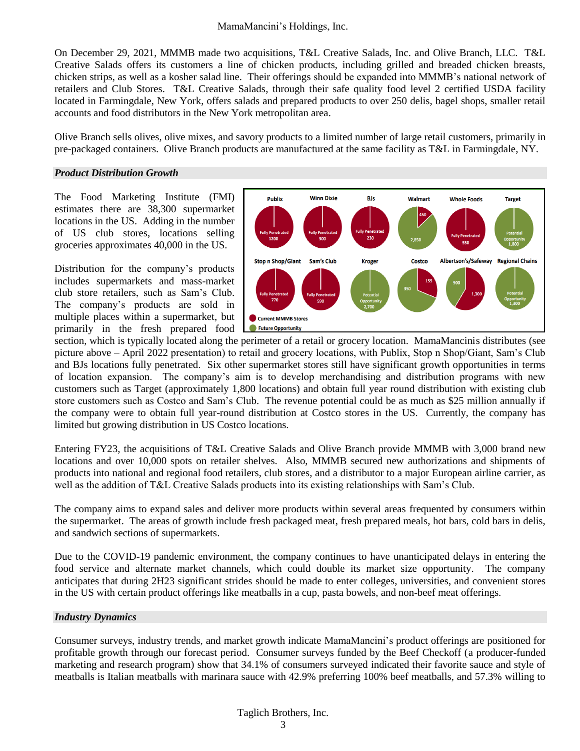On December 29, 2021, MMMB made two acquisitions, T&L Creative Salads, Inc. and Olive Branch, LLC. T&L Creative Salads offers its customers a line of chicken products, including grilled and breaded chicken breasts, chicken strips, as well as a kosher salad line. Their offerings should be expanded into MMMB's national network of retailers and Club Stores. T&L Creative Salads, through their safe quality food level 2 certified USDA facility located in Farmingdale, New York, offers salads and prepared products to over 250 delis, bagel shops, smaller retail accounts and food distributors in the New York metropolitan area.

Olive Branch sells olives, olive mixes, and savory products to a limited number of large retail customers, primarily in pre-packaged containers. Olive Branch products are manufactured at the same facility as T&L in Farmingdale, NY.

#### *Product Distribution Growth*

The Food Marketing Institute (FMI) estimates there are 38,300 supermarket locations in the US. Adding in the number of US club stores, locations selling groceries approximates 40,000 in the US.

Distribution for the company's products includes supermarkets and mass-market club store retailers, such as Sam's Club. The company's products are sold in multiple places within a supermarket, but primarily in the fresh prepared food



section, which is typically located along the perimeter of a retail or grocery location. MamaMancinis distributes (see picture above – April 2022 presentation) to retail and grocery locations, with Publix, Stop n Shop/Giant, Sam's Club and BJs locations fully penetrated. Six other supermarket stores still have significant growth opportunities in terms of location expansion. The company's aim is to develop merchandising and distribution programs with new customers such as Target (approximately 1,800 locations) and obtain full year round distribution with existing club store customers such as Costco and Sam's Club. The revenue potential could be as much as \$25 million annually if the company were to obtain full year-round distribution at Costco stores in the US. Currently, the company has limited but growing distribution in US Costco locations.

Entering FY23, the acquisitions of T&L Creative Salads and Olive Branch provide MMMB with 3,000 brand new locations and over 10,000 spots on retailer shelves. Also, MMMB secured new authorizations and shipments of products into national and regional food retailers, club stores, and a distributor to a major European airline carrier, as well as the addition of T&L Creative Salads products into its existing relationships with Sam's Club.

The company aims to expand sales and deliver more products within several areas frequented by consumers within the supermarket. The areas of growth include fresh packaged meat, fresh prepared meals, hot bars, cold bars in delis, and sandwich sections of supermarkets.

Due to the COVID-19 pandemic environment, the company continues to have unanticipated delays in entering the food service and alternate market channels, which could double its market size opportunity. The company anticipates that during 2H23 significant strides should be made to enter colleges, universities, and convenient stores in the US with certain product offerings like meatballs in a cup, pasta bowels, and non-beef meat offerings.

#### *Industry Dynamics*

Consumer surveys, industry trends, and market growth indicate MamaMancini's product offerings are positioned for profitable growth through our forecast period. Consumer surveys funded by the Beef Checkoff (a producer-funded marketing and research program) show that 34.1% of consumers surveyed indicated their favorite sauce and style of meatballs is Italian meatballs with marinara sauce with 42.9% preferring 100% beef meatballs, and 57.3% willing to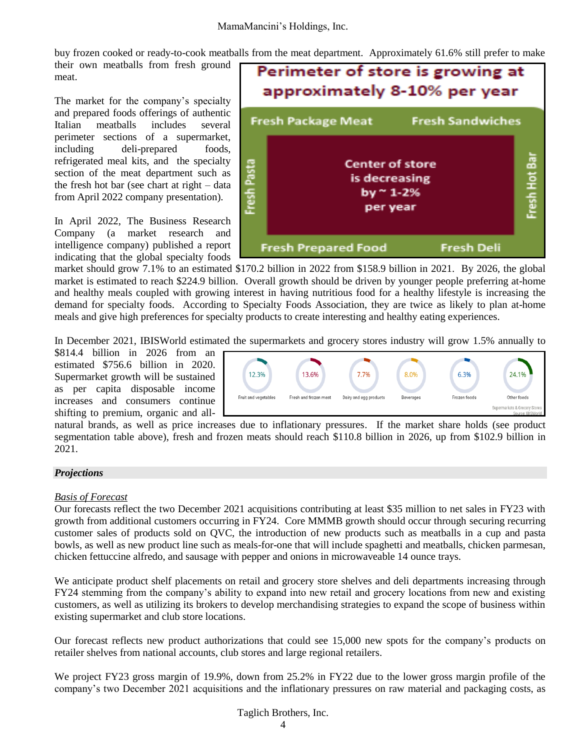buy frozen cooked or ready-to-cook meatballs from the meat department. Approximately 61.6% still prefer to make

their own meatballs from fresh ground meat.

The market for the company's specialty and prepared foods offerings of authentic Italian meatballs includes several perimeter sections of a supermarket, including deli-prepared foods, refrigerated meal kits, and the specialty section of the meat department such as the fresh hot bar (see chart at right – data from April 2022 company presentation).

In April 2022, The Business Research Company (a market research and intelligence company) published a report indicating that the global specialty foods



market should grow 7.1% to an estimated \$170.2 billion in 2022 from \$158.9 billion in 2021. By 2026, the global market is estimated to reach \$224.9 billion. Overall growth should be driven by younger people preferring at-home and healthy meals coupled with growing interest in having nutritious food for a healthy lifestyle is increasing the demand for specialty foods. According to Specialty Foods Association, they are twice as likely to plan at-home meals and give high preferences for specialty products to create interesting and healthy eating experiences.

In December 2021, IBISWorld estimated the supermarkets and grocery stores industry will grow 1.5% annually to

\$814.4 billion in 2026 from an estimated \$756.6 billion in 2020. Supermarket growth will be sustained as per capita disposable income increases and consumers continue shifting to premium, organic and all-



natural brands, as well as price increases due to inflationary pressures. If the market share holds (see product segmentation table above), fresh and frozen meats should reach \$110.8 billion in 2026, up from \$102.9 billion in 2021.

#### *Projections*

#### *Basis of Forecast*

Our forecasts reflect the two December 2021 acquisitions contributing at least \$35 million to net sales in FY23 with growth from additional customers occurring in FY24. Core MMMB growth should occur through securing recurring customer sales of products sold on QVC, the introduction of new products such as meatballs in a cup and pasta bowls, as well as new product line such as meals-for-one that will include spaghetti and meatballs, chicken parmesan, chicken fettuccine alfredo, and sausage with pepper and onions in microwaveable 14 ounce trays.

We anticipate product shelf placements on retail and grocery store shelves and deli departments increasing through FY24 stemming from the company's ability to expand into new retail and grocery locations from new and existing customers, as well as utilizing its brokers to develop merchandising strategies to expand the scope of business within existing supermarket and club store locations.

Our forecast reflects new product authorizations that could see 15,000 new spots for the company's products on retailer shelves from national accounts, club stores and large regional retailers.

We project FY23 gross margin of 19.9%, down from 25.2% in FY22 due to the lower gross margin profile of the company's two December 2021 acquisitions and the inflationary pressures on raw material and packaging costs, as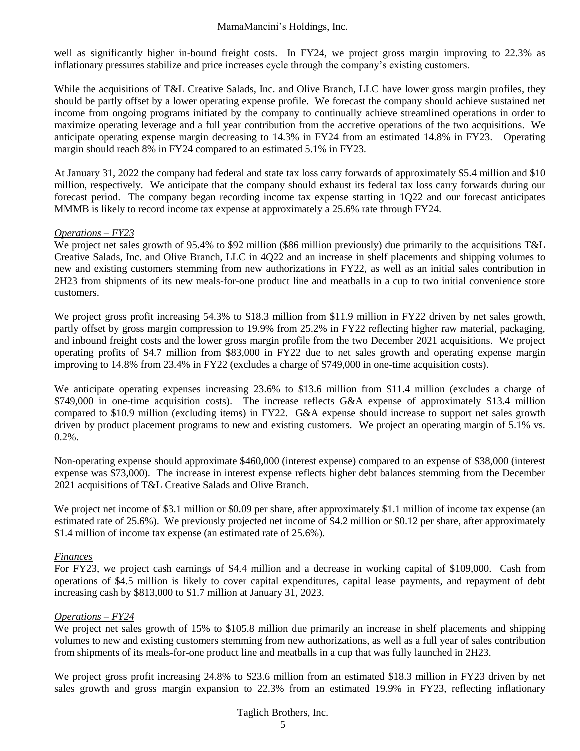well as significantly higher in-bound freight costs. In FY24, we project gross margin improving to 22.3% as inflationary pressures stabilize and price increases cycle through the company's existing customers.

While the acquisitions of T&L Creative Salads, Inc. and Olive Branch, LLC have lower gross margin profiles, they should be partly offset by a lower operating expense profile. We forecast the company should achieve sustained net income from ongoing programs initiated by the company to continually achieve streamlined operations in order to maximize operating leverage and a full year contribution from the accretive operations of the two acquisitions. We anticipate operating expense margin decreasing to 14.3% in FY24 from an estimated 14.8% in FY23. Operating margin should reach 8% in FY24 compared to an estimated 5.1% in FY23.

At January 31, 2022 the company had federal and state tax loss carry forwards of approximately \$5.4 million and \$10 million, respectively. We anticipate that the company should exhaust its federal tax loss carry forwards during our forecast period. The company began recording income tax expense starting in 1Q22 and our forecast anticipates MMMB is likely to record income tax expense at approximately a 25.6% rate through FY24.

#### *Operations – FY23*

We project net sales growth of 95.4% to \$92 million (\$86 million previously) due primarily to the acquisitions T&L Creative Salads, Inc. and Olive Branch, LLC in 4Q22 and an increase in shelf placements and shipping volumes to new and existing customers stemming from new authorizations in FY22, as well as an initial sales contribution in 2H23 from shipments of its new meals-for-one product line and meatballs in a cup to two initial convenience store customers.

We project gross profit increasing 54.3% to \$18.3 million from \$11.9 million in FY22 driven by net sales growth, partly offset by gross margin compression to 19.9% from 25.2% in FY22 reflecting higher raw material, packaging, and inbound freight costs and the lower gross margin profile from the two December 2021 acquisitions. We project operating profits of \$4.7 million from \$83,000 in FY22 due to net sales growth and operating expense margin improving to 14.8% from 23.4% in FY22 (excludes a charge of \$749,000 in one-time acquisition costs).

We anticipate operating expenses increasing 23.6% to \$13.6 million from \$11.4 million (excludes a charge of \$749,000 in one-time acquisition costs). The increase reflects G&A expense of approximately \$13.4 million compared to \$10.9 million (excluding items) in FY22. G&A expense should increase to support net sales growth driven by product placement programs to new and existing customers. We project an operating margin of 5.1% vs. 0.2%.

Non-operating expense should approximate \$460,000 (interest expense) compared to an expense of \$38,000 (interest expense was \$73,000). The increase in interest expense reflects higher debt balances stemming from the December 2021 acquisitions of T&L Creative Salads and Olive Branch.

We project net income of \$3.1 million or \$0.09 per share, after approximately \$1.1 million of income tax expense (an estimated rate of 25.6%). We previously projected net income of \$4.2 million or \$0.12 per share, after approximately \$1.4 million of income tax expense (an estimated rate of 25.6%).

#### *Finances*

For FY23, we project cash earnings of \$4.4 million and a decrease in working capital of \$109,000. Cash from operations of \$4.5 million is likely to cover capital expenditures, capital lease payments, and repayment of debt increasing cash by \$813,000 to \$1.7 million at January 31, 2023.

#### *Operations – FY24*

We project net sales growth of 15% to \$105.8 million due primarily an increase in shelf placements and shipping volumes to new and existing customers stemming from new authorizations, as well as a full year of sales contribution from shipments of its meals-for-one product line and meatballs in a cup that was fully launched in 2H23.

We project gross profit increasing 24.8% to \$23.6 million from an estimated \$18.3 million in FY23 driven by net sales growth and gross margin expansion to 22.3% from an estimated 19.9% in FY23, reflecting inflationary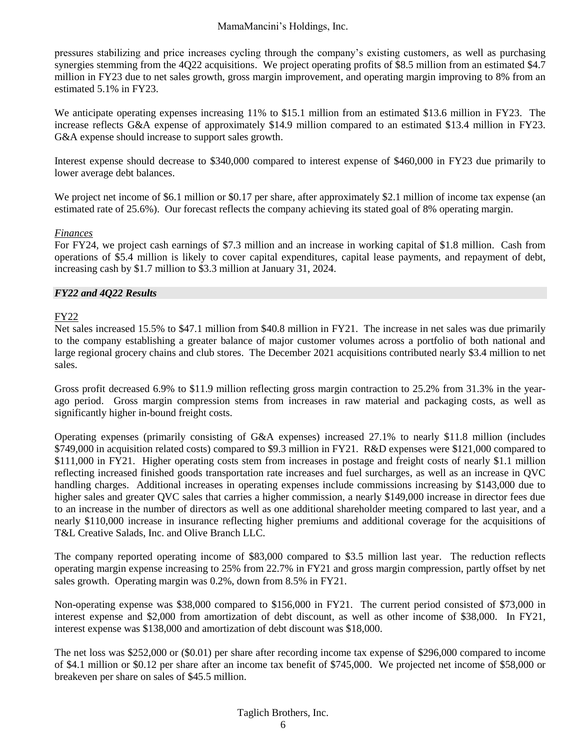pressures stabilizing and price increases cycling through the company's existing customers, as well as purchasing synergies stemming from the 4Q22 acquisitions. We project operating profits of \$8.5 million from an estimated \$4.7 million in FY23 due to net sales growth, gross margin improvement, and operating margin improving to 8% from an estimated 5.1% in FY23.

We anticipate operating expenses increasing 11% to \$15.1 million from an estimated \$13.6 million in FY23. The increase reflects G&A expense of approximately \$14.9 million compared to an estimated \$13.4 million in FY23. G&A expense should increase to support sales growth.

Interest expense should decrease to \$340,000 compared to interest expense of \$460,000 in FY23 due primarily to lower average debt balances.

We project net income of \$6.1 million or \$0.17 per share, after approximately \$2.1 million of income tax expense (an estimated rate of 25.6%). Our forecast reflects the company achieving its stated goal of 8% operating margin.

#### *Finances*

For FY24, we project cash earnings of \$7.3 million and an increase in working capital of \$1.8 million. Cash from operations of \$5.4 million is likely to cover capital expenditures, capital lease payments, and repayment of debt, increasing cash by \$1.7 million to \$3.3 million at January 31, 2024.

#### *FY22 and 4Q22 Results*

#### FY22

Net sales increased 15.5% to \$47.1 million from \$40.8 million in FY21. The increase in net sales was due primarily to the company establishing a greater balance of major customer volumes across a portfolio of both national and large regional grocery chains and club stores. The December 2021 acquisitions contributed nearly \$3.4 million to net sales.

Gross profit decreased 6.9% to \$11.9 million reflecting gross margin contraction to 25.2% from 31.3% in the yearago period. Gross margin compression stems from increases in raw material and packaging costs, as well as significantly higher in-bound freight costs.

Operating expenses (primarily consisting of G&A expenses) increased 27.1% to nearly \$11.8 million (includes \$749,000 in acquisition related costs) compared to \$9.3 million in FY21. R&D expenses were \$121,000 compared to \$111,000 in FY21. Higher operating costs stem from increases in postage and freight costs of nearly \$1.1 million reflecting increased finished goods transportation rate increases and fuel surcharges, as well as an increase in QVC handling charges. Additional increases in operating expenses include commissions increasing by \$143,000 due to higher sales and greater OVC sales that carries a higher commission, a nearly \$149,000 increase in director fees due to an increase in the number of directors as well as one additional shareholder meeting compared to last year, and a nearly \$110,000 increase in insurance reflecting higher premiums and additional coverage for the acquisitions of T&L Creative Salads, Inc. and Olive Branch LLC.

The company reported operating income of \$83,000 compared to \$3.5 million last year. The reduction reflects operating margin expense increasing to 25% from 22.7% in FY21 and gross margin compression, partly offset by net sales growth. Operating margin was 0.2%, down from 8.5% in FY21.

Non-operating expense was \$38,000 compared to \$156,000 in FY21. The current period consisted of \$73,000 in interest expense and \$2,000 from amortization of debt discount, as well as other income of \$38,000. In FY21, interest expense was \$138,000 and amortization of debt discount was \$18,000.

The net loss was \$252,000 or (\$0.01) per share after recording income tax expense of \$296,000 compared to income of \$4.1 million or \$0.12 per share after an income tax benefit of \$745,000. We projected net income of \$58,000 or breakeven per share on sales of \$45.5 million.

#### Taglich Brothers, Inc.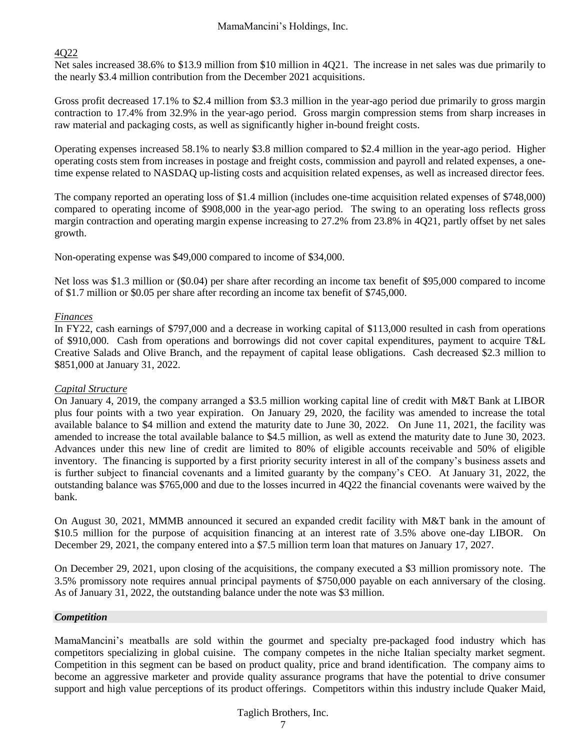#### 4Q22

Net sales increased 38.6% to \$13.9 million from \$10 million in 4Q21. The increase in net sales was due primarily to the nearly \$3.4 million contribution from the December 2021 acquisitions.

Gross profit decreased 17.1% to \$2.4 million from \$3.3 million in the year-ago period due primarily to gross margin contraction to 17.4% from 32.9% in the year-ago period. Gross margin compression stems from sharp increases in raw material and packaging costs, as well as significantly higher in-bound freight costs.

Operating expenses increased 58.1% to nearly \$3.8 million compared to \$2.4 million in the year-ago period. Higher operating costs stem from increases in postage and freight costs, commission and payroll and related expenses, a onetime expense related to NASDAQ up-listing costs and acquisition related expenses, as well as increased director fees.

The company reported an operating loss of \$1.4 million (includes one-time acquisition related expenses of \$748,000) compared to operating income of \$908,000 in the year-ago period. The swing to an operating loss reflects gross margin contraction and operating margin expense increasing to 27.2% from 23.8% in 4Q21, partly offset by net sales growth.

Non-operating expense was \$49,000 compared to income of \$34,000.

Net loss was \$1.3 million or (\$0.04) per share after recording an income tax benefit of \$95,000 compared to income of \$1.7 million or \$0.05 per share after recording an income tax benefit of \$745,000.

#### *Finances*

In FY22, cash earnings of \$797,000 and a decrease in working capital of \$113,000 resulted in cash from operations of \$910,000. Cash from operations and borrowings did not cover capital expenditures, payment to acquire T&L Creative Salads and Olive Branch, and the repayment of capital lease obligations. Cash decreased \$2.3 million to \$851,000 at January 31, 2022.

#### *Capital Structure*

On January 4, 2019, the company arranged a \$3.5 million working capital line of credit with M&T Bank at LIBOR plus four points with a two year expiration. On January 29, 2020, the facility was amended to increase the total available balance to \$4 million and extend the maturity date to June 30, 2022. On June 11, 2021, the facility was amended to increase the total available balance to \$4.5 million, as well as extend the maturity date to June 30, 2023. Advances under this new line of credit are limited to 80% of eligible accounts receivable and 50% of eligible inventory. The financing is supported by a first priority security interest in all of the company's business assets and is further subject to financial covenants and a limited guaranty by the company's CEO. At January 31, 2022, the outstanding balance was \$765,000 and due to the losses incurred in 4Q22 the financial covenants were waived by the bank.

On August 30, 2021, MMMB announced it secured an expanded credit facility with M&T bank in the amount of \$10.5 million for the purpose of acquisition financing at an interest rate of 3.5% above one-day LIBOR. On December 29, 2021, the company entered into a \$7.5 million term loan that matures on January 17, 2027.

On December 29, 2021, upon closing of the acquisitions, the company executed a \$3 million promissory note. The 3.5% promissory note requires annual principal payments of \$750,000 payable on each anniversary of the closing. As of January 31, 2022, the outstanding balance under the note was \$3 million.

#### *Competition*

MamaMancini's meatballs are sold within the gourmet and specialty pre-packaged food industry which has competitors specializing in global cuisine. The company competes in the niche Italian specialty market segment. Competition in this segment can be based on product quality, price and brand identification. The company aims to become an aggressive marketer and provide quality assurance programs that have the potential to drive consumer support and high value perceptions of its product offerings. Competitors within this industry include Quaker Maid,

### Taglich Brothers, Inc.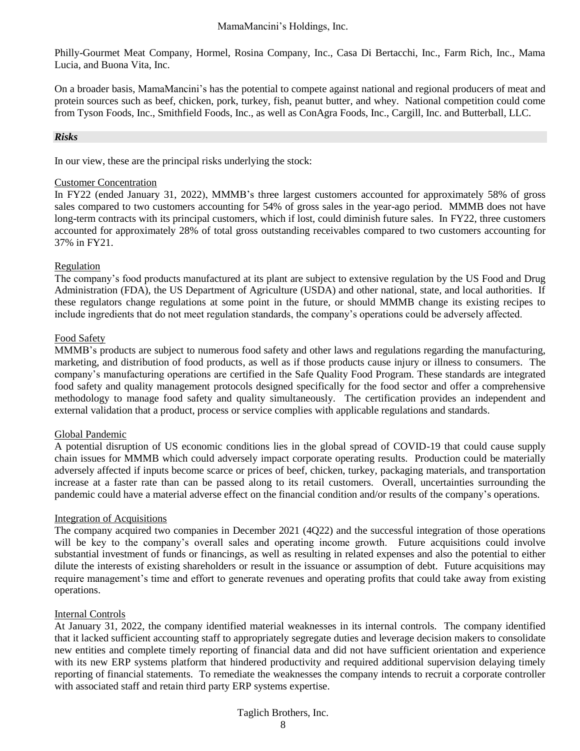Philly-Gourmet Meat Company, Hormel, Rosina Company, Inc., Casa Di Bertacchi, Inc., Farm Rich, Inc., Mama Lucia, and Buona Vita, Inc.

On a broader basis, MamaMancini's has the potential to compete against national and regional producers of meat and protein sources such as beef, chicken, pork, turkey, fish, peanut butter, and whey. National competition could come from Tyson Foods, Inc., Smithfield Foods, Inc., as well as ConAgra Foods, Inc., Cargill, Inc. and Butterball, LLC.

#### *Risks*

In our view, these are the principal risks underlying the stock:

#### Customer Concentration

In FY22 (ended January 31, 2022), MMMB's three largest customers accounted for approximately 58% of gross sales compared to two customers accounting for 54% of gross sales in the year-ago period. MMMB does not have long-term contracts with its principal customers, which if lost, could diminish future sales. In FY22, three customers accounted for approximately 28% of total gross outstanding receivables compared to two customers accounting for 37% in FY21.

#### Regulation

The company's food products manufactured at its plant are subject to extensive regulation by the US Food and Drug Administration (FDA), the US Department of Agriculture (USDA) and other national, state, and local authorities. If these regulators change regulations at some point in the future, or should MMMB change its existing recipes to include ingredients that do not meet regulation standards, the company's operations could be adversely affected.

#### Food Safety

MMMB's products are subject to numerous food safety and other laws and regulations regarding the manufacturing, marketing, and distribution of food products, as well as if those products cause injury or illness to consumers. The company's manufacturing operations are certified in the Safe Quality Food Program. These standards are integrated food safety and quality management protocols designed specifically for the food sector and offer a comprehensive methodology to manage food safety and quality simultaneously. The certification provides an independent and external validation that a product, process or service complies with applicable regulations and standards.

#### Global Pandemic

A potential disruption of US economic conditions lies in the global spread of COVID-19 that could cause supply chain issues for MMMB which could adversely impact corporate operating results. Production could be materially adversely affected if inputs become scarce or prices of beef, chicken, turkey, packaging materials, and transportation increase at a faster rate than can be passed along to its retail customers. Overall, uncertainties surrounding the pandemic could have a material adverse effect on the financial condition and/or results of the company's operations.

#### Integration of Acquisitions

The company acquired two companies in December 2021 (4Q22) and the successful integration of those operations will be key to the company's overall sales and operating income growth. Future acquisitions could involve substantial investment of funds or financings, as well as resulting in related expenses and also the potential to either dilute the interests of existing shareholders or result in the issuance or assumption of debt. Future acquisitions may require management's time and effort to generate revenues and operating profits that could take away from existing operations.

#### Internal Controls

At January 31, 2022, the company identified material weaknesses in its internal controls. The company identified that it lacked sufficient accounting staff to appropriately segregate duties and leverage decision makers to consolidate new entities and complete timely reporting of financial data and did not have sufficient orientation and experience with its new ERP systems platform that hindered productivity and required additional supervision delaying timely reporting of financial statements. To remediate the weaknesses the company intends to recruit a corporate controller with associated staff and retain third party ERP systems expertise.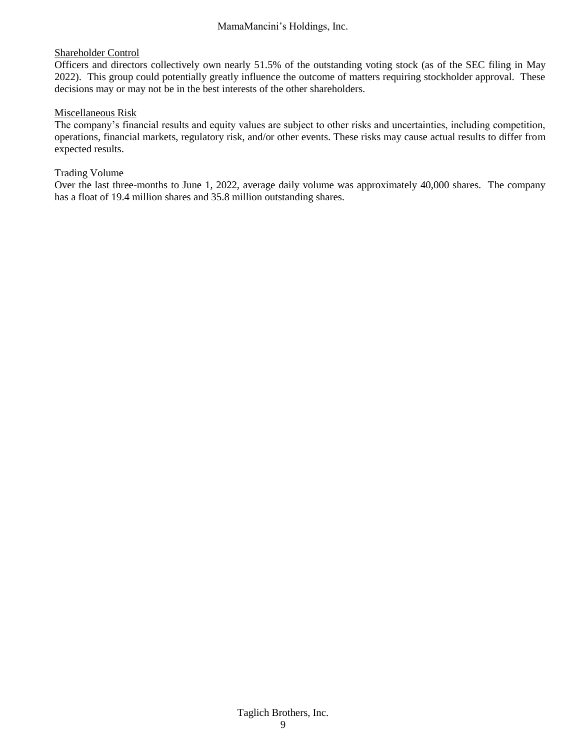#### Shareholder Control

Officers and directors collectively own nearly 51.5% of the outstanding voting stock (as of the SEC filing in May 2022). This group could potentially greatly influence the outcome of matters requiring stockholder approval. These decisions may or may not be in the best interests of the other shareholders.

#### Miscellaneous Risk

The company's financial results and equity values are subject to other risks and uncertainties, including competition, operations, financial markets, regulatory risk, and/or other events. These risks may cause actual results to differ from expected results.

#### Trading Volume

Over the last three-months to June 1, 2022, average daily volume was approximately 40,000 shares. The company has a float of 19.4 million shares and 35.8 million outstanding shares.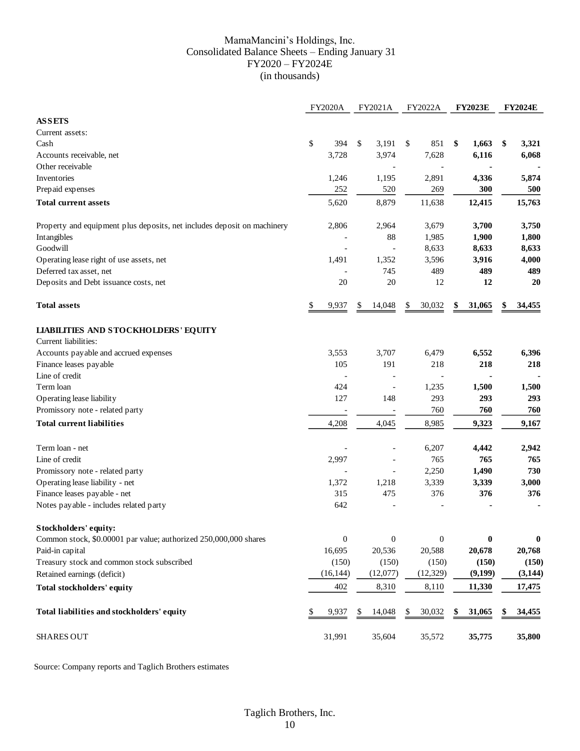#### MamaMancini's Holdings, Inc. Consolidated Balance Sheets – Ending January 31 FY2020 – FY2024E (in thousands)

| <b>ASSETS</b><br>Current assets:<br>\$<br>3,191<br>394<br>\$<br>\$<br>Cash<br>3,728<br>3,974<br>7,628<br>Accounts receivable, net<br>Other receivable<br>Inventories<br>1,195<br>2,891<br>1,246<br>Prepaid expenses<br>252<br>520 | 851<br>\$<br>1,663<br>6,116<br>4,336<br>269<br>300<br>12,415<br>3,700<br>1,900 | \$<br>3,321<br>6,068<br>5,874<br>500<br>15,763<br>3,750 |
|-----------------------------------------------------------------------------------------------------------------------------------------------------------------------------------------------------------------------------------|--------------------------------------------------------------------------------|---------------------------------------------------------|
|                                                                                                                                                                                                                                   |                                                                                |                                                         |
|                                                                                                                                                                                                                                   |                                                                                |                                                         |
|                                                                                                                                                                                                                                   |                                                                                |                                                         |
|                                                                                                                                                                                                                                   |                                                                                |                                                         |
|                                                                                                                                                                                                                                   |                                                                                |                                                         |
|                                                                                                                                                                                                                                   |                                                                                |                                                         |
|                                                                                                                                                                                                                                   |                                                                                |                                                         |
| 8,879<br><b>Total current assets</b><br>5,620<br>11,638                                                                                                                                                                           |                                                                                |                                                         |
| 2,964<br>3,679<br>Property and equipment plus deposits, net includes deposit on machinery<br>2,806                                                                                                                                |                                                                                |                                                         |
| Intangibles<br>88<br>1,985                                                                                                                                                                                                        |                                                                                | 1,800                                                   |
| Goodwill<br>8,633<br>$\overline{a}$                                                                                                                                                                                               | 8,633                                                                          | 8,633                                                   |
| 3,596<br>Operating lease right of use assets, net<br>1,491<br>1,352                                                                                                                                                               | 3,916                                                                          | 4,000                                                   |
| 745<br>Deferred tax asset, net                                                                                                                                                                                                    | 489<br>489                                                                     | 489                                                     |
| $20\,$<br>Deposits and Debt issuance costs, net<br>20                                                                                                                                                                             | 12<br>12                                                                       | 20                                                      |
| <b>Total assets</b><br>30,032<br>\$<br>9,937<br>14,048<br>\$<br>\$                                                                                                                                                                | 31,065<br>\$                                                                   | 34,455<br>\$                                            |
| <b>LIABILITIES AND STOCKHOLDERS' EQUITY</b>                                                                                                                                                                                       |                                                                                |                                                         |
| Current liabilities:                                                                                                                                                                                                              |                                                                                |                                                         |
| Accounts payable and accrued expenses<br>3,553<br>3,707<br>6,479                                                                                                                                                                  | 6,552                                                                          | 6,396                                                   |
| Finance leases payable<br>191<br>105                                                                                                                                                                                              | 218<br>218                                                                     | 218                                                     |
| Line of credit                                                                                                                                                                                                                    |                                                                                |                                                         |
| Term loan<br>424<br>1,235                                                                                                                                                                                                         | 1,500                                                                          | 1,500                                                   |
| 148<br>Operating lease liability<br>127                                                                                                                                                                                           | 293<br>293                                                                     | 293                                                     |
| Promissory note - related party                                                                                                                                                                                                   | 760<br>760                                                                     | 760                                                     |
| <b>Total current liabilities</b><br>4,208<br>4,045<br>8,985                                                                                                                                                                       | 9,323                                                                          | 9,167                                                   |
| Term loan - net<br>6,207                                                                                                                                                                                                          | 4,442                                                                          | 2,942                                                   |
| Line of credit<br>2,997                                                                                                                                                                                                           | 765<br>765                                                                     | 765                                                     |
| Promissory note - related party<br>2,250<br>$\overline{\phantom{a}}$                                                                                                                                                              | 1,490                                                                          | 730                                                     |
| Operating lease liability - net<br>1,372<br>1,218<br>3,339                                                                                                                                                                        | 3,339                                                                          | 3,000                                                   |
| Finance leases payable - net<br>475<br>315                                                                                                                                                                                        | 376<br>376                                                                     | 376                                                     |
| 642<br>Notes payable - includes related party                                                                                                                                                                                     |                                                                                |                                                         |
| Stockholders' equity:                                                                                                                                                                                                             |                                                                                |                                                         |
| $\boldsymbol{0}$<br>$\boldsymbol{0}$<br>Common stock, \$0.00001 par value; authorized 250,000,000 shares                                                                                                                          | $\boldsymbol{0}$<br>$\bf{0}$                                                   | $\bf{0}$                                                |
| 16,695<br>20,536<br>20,588<br>Paid-in capital                                                                                                                                                                                     | 20,678                                                                         | 20,768                                                  |
| Treasury stock and common stock subscribed<br>(150)<br>(150)                                                                                                                                                                      | (150)<br>(150)                                                                 | (150)                                                   |
| Retained earnings (deficit)<br>(16, 144)<br>(12,077)<br>(12, 329)                                                                                                                                                                 | (9,199)                                                                        | (3,144)                                                 |
| 402<br>8,110<br><b>Total stockholders' equity</b><br>8,310                                                                                                                                                                        | 11,330                                                                         | 17,475                                                  |
| Total liabilities and stockholders' equity<br>9,937<br>14,048<br>30,032<br>\$<br>\$<br>S.                                                                                                                                         | 31,065<br>\$                                                                   | 34,455<br>\$                                            |
| <b>SHARES OUT</b><br>31,991<br>35,604<br>35,572                                                                                                                                                                                   | 35,775                                                                         | 35,800                                                  |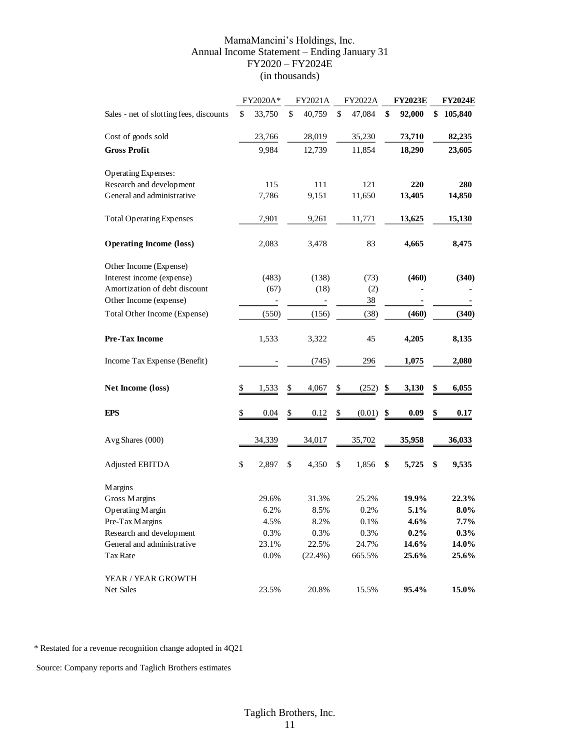#### MamaMancini's Holdings, Inc. Annual Income Statement – Ending January 31 FY2020 – FY2024E (in thousands)

|                                         | FY2020A*          | FY2021A                  | FY2022A      | <b>FY2023E</b> | <b>FY2024E</b> |
|-----------------------------------------|-------------------|--------------------------|--------------|----------------|----------------|
| Sales - net of slotting fees, discounts | \$<br>33,750      | \$<br>40,759             | \$<br>47,084 | \$<br>92,000   | \$<br>105,840  |
| Cost of goods sold                      | 23,766            | 28,019                   | 35,230       | 73,710         | 82,235         |
| <b>Gross Profit</b>                     | 9,984             | 12,739                   | 11,854       | 18,290         | 23,605         |
| <b>Operating Expenses:</b>              |                   |                          |              |                |                |
| Research and development                | 115               | 111                      | 121          | 220            | 280            |
| General and administrative              | 7,786             | 9,151                    | 11,650       | 13,405         | 14,850         |
| <b>Total Operating Expenses</b>         | 7,901             | 9,261                    | 11,771       | 13,625         | 15,130         |
| <b>Operating Income (loss)</b>          | 2,083             | 3,478                    | 83           | 4,665          | 8,475          |
| Other Income (Expense)                  |                   |                          |              |                |                |
| Interest income (expense)               | (483)             | (138)                    | (73)         | (460)          | (340)          |
| Amortization of debt discount           | (67)              | (18)                     | (2)          |                |                |
| Other Income (expense)                  | $\qquad \qquad -$ | $\overline{\phantom{0}}$ | 38           |                |                |
| Total Other Income (Expense)            | (550)             | (156)                    | (38)         | (460)          | (340)          |
| <b>Pre-Tax Income</b>                   | 1,533             | 3,322                    | 45           | 4,205          | 8,135          |
| Income Tax Expense (Benefit)            |                   | (745)                    | 296          | 1,075          | 2,080          |
| Net Income (loss)                       | \$<br>1,533       | \$<br>4,067              | \$<br>(252)  | \$<br>3,130    | \$<br>6,055    |
| <b>EPS</b>                              | \$<br>$0.04\,$    | \$<br>0.12               | \$<br>(0.01) | \$<br>0.09     | \$<br>0.17     |
| Avg Shares (000)                        | 34,339            | 34,017                   | 35,702       | 35,958         | 36,033         |
| Adjusted EBITDA                         | \$<br>2,897       | \$<br>4,350              | \$<br>1,856  | \$<br>5,725    | \$<br>9,535    |
| <b>Margins</b>                          |                   |                          |              |                |                |
| Gross Margins                           | 29.6%             | 31.3%                    | 25.2%        | 19.9%          | 22.3%          |
| Operating Margin                        | 6.2%              | 8.5%                     | 0.2%         | 5.1%           | 8.0%           |
| Pre-Tax Margins                         | 4.5%              | 8.2%                     | 0.1%         | 4.6%           | $7.7\%$        |
| Research and development                | 0.3%              | 0.3%                     | 0.3%         | 0.2%           | $0.3\%$        |
| General and administrative              | 23.1%             | 22.5%                    | 24.7%        | 14.6%          | 14.0%          |
| Tax Rate                                | 0.0%              | $(22.4\%)$               | 665.5%       | 25.6%          | 25.6%          |
| YEAR / YEAR GROWTH                      |                   |                          |              |                |                |
| Net Sales                               | 23.5%             | 20.8%                    | 15.5%        | 95.4%          | 15.0%          |

\* Restated for a revenue recognition change adopted in 4Q21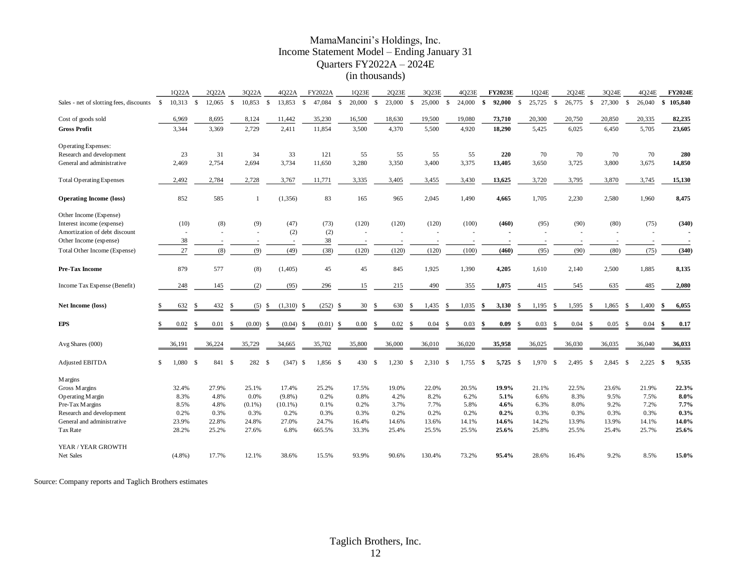#### MamaMancini's Holdings, Inc. Income Statement Model – Ending January 31 Quarters FY2022A – 2024E (in thousands)

|                                         |               | 1022A     |              | 2022A  |              | 3022A          |              | 4022A      |               | FY2022A  |              | 1Q23E  |               | 2023E  |             | 3023E  |               | 4023E         |              | <b>FY2023E</b> |      | 1Q24E  |              | 2Q24E  |              | 3024E  |              | 4024E  |     | <b>FY2024E</b> |
|-----------------------------------------|---------------|-----------|--------------|--------|--------------|----------------|--------------|------------|---------------|----------|--------------|--------|---------------|--------|-------------|--------|---------------|---------------|--------------|----------------|------|--------|--------------|--------|--------------|--------|--------------|--------|-----|----------------|
| Sales - net of slotting fees, discounts | S.            | 10,313    | $\mathbf{s}$ | 12,065 | $\mathbf{s}$ | 10,853         | $\mathbf{s}$ | 13.853     | $\mathbf{s}$  | 47.084   | $\mathbf{s}$ | 20,000 | $\mathcal{S}$ | 23,000 | $\mathbf S$ | 25,000 | $\mathcal{S}$ | 24,000        | $\mathbf{s}$ | 92,000         | - \$ | 25,725 | $\mathbf{s}$ | 26,775 | $\mathbf{s}$ | 27,300 | $\mathbf{s}$ | 26,040 |     | \$105,840      |
| Cost of goods sold                      |               | 6,969     |              | 8,695  |              | 8,124          |              | 11,442     |               | 35,230   |              | 16,500 |               | 18,630 |             | 19,500 |               | 19,080        |              | 73,710         |      | 20,300 |              | 20,750 |              | 20,850 |              | 20,335 |     | 82,235         |
| <b>Gross Profit</b>                     |               | 3,344     |              | 3,369  |              | 2,729          |              | 2,411      |               | 11,854   |              | 3,500  |               | 4,370  |             | 5,500  |               | 4,920         |              | 18,290         |      | 5,425  |              | 6,025  |              | 6,450  |              | 5,705  |     | 23,605         |
| <b>Operating Expenses:</b>              |               |           |              |        |              |                |              |            |               |          |              |        |               |        |             |        |               |               |              |                |      |        |              |        |              |        |              |        |     |                |
| Research and development                |               | 23        |              | 31     |              | 34             |              | 33         |               | 121      |              | 55     |               | 55     |             | 55     |               | 55            |              | 220            |      | 70     |              | 70     |              | 70     |              | 70     |     | 280            |
| General and administrative              |               | 2,469     |              | 2,754  |              | 2,694          |              | 3,734      |               | 11,650   |              | 3,280  |               | 3,350  |             | 3,400  |               | 3,375         |              | 13,405         |      | 3,650  |              | 3,725  |              | 3,800  |              | 3,675  |     | 14,850         |
| <b>Total Operating Expenses</b>         |               | 2,492     |              | 2,784  |              | 2,728          |              | 3,767      |               | 11,771   |              | 3,335  |               | 3,405  |             | 3,455  |               | 3,430         |              | 13,625         |      | 3,720  |              | 3,795  |              | 3,870  |              | 3,745  |     | 15,130         |
| <b>Operating Income (loss)</b>          |               | 852       |              | 585    |              | $\overline{1}$ |              | (1,356)    |               | 83       |              | 165    |               | 965    |             | 2,045  |               | 1,490         |              | 4,665          |      | 1,705  |              | 2,230  |              | 2,580  |              | 1,960  |     | 8,475          |
| Other Income (Expense)                  |               |           |              |        |              |                |              |            |               |          |              |        |               |        |             |        |               |               |              |                |      |        |              |        |              |        |              |        |     |                |
| Interest income (expense)               |               | (10)      |              | (8)    |              | (9)            |              | (47)       |               | (73)     |              | (120)  |               | (120)  |             | (120)  |               | (100)         |              | (460)          |      | (95)   |              | (90)   |              | (80)   |              | (75)   |     | (340)          |
| Amortization of debt discount           |               |           |              |        |              |                |              | (2)        |               | (2)      |              |        |               |        |             |        |               |               |              |                |      |        |              |        |              |        |              |        |     |                |
| Other Income (expense)                  |               | 38        |              |        |              |                |              |            |               | 38       |              |        |               |        |             |        |               |               |              |                |      |        |              |        |              |        |              |        |     |                |
| Total Other Income (Expense)            |               | 27        |              | (8)    |              | (9)            |              | (49)       |               | (38)     |              | (120)  |               | (120)  |             | (120)  |               | (100)         |              | (460)          |      | (95)   |              | (90)   |              | (80)   |              | (75)   |     | (340)          |
| Pre-Tax Income                          |               | 879       |              | 577    |              | (8)            |              | (1,405)    |               | 45       |              | 45     |               | 845    |             | 1,925  |               | 1,390         |              | 4,205          |      | 1,610  |              | 2,140  |              | 2,500  |              | 1,885  |     | 8,135          |
| Income Tax Expense (Benefit)            |               | 248       |              | 145    |              | (2)            |              | (95)       |               | 296      |              | 15     |               | 215    |             | 490    |               | 355           |              | 1,075          |      | 415    |              | 545    |              | 635    |              | 485    |     | 2,080          |
| <b>Net Income (loss)</b>                | S             | 632       |              | 432    | \$           | (5)            | \$           | (1,310)    | <sup>\$</sup> | (252)    | -S           | 30     | \$            | 630    | S           | 1,435  | S             | 1,035         | \$           | 3,130          | -S   | 1,195  | <b>S</b>     | 1,595  | \$           | 1,865  | \$           | 1,400  | \$  | 6,055          |
| <b>EPS</b>                              | £.            | 0.02      |              | 0.01   | \$.          | (0.00)         | \$           | (0.04)     | -\$           | (0.01)   | -S           | 0.00   | -S            | 0.02   | -S          | 0.04   | -S            | 0.03          | S            | 0.09           | .S   | 0.03   | -S           | 0.04   | £.           | 0.05   | S            | 0.04   | -S  | 0.17           |
| Avg Shares (000)                        |               | 36,191    |              | 36,224 |              | 35,729         |              | 34,665     |               | 35,702   |              | 35,800 |               | 36,000 |             | 36,010 |               | 36,020        |              | 35,958         |      | 36,025 |              | 36,030 |              | 36,035 |              | 36,040 |     | 36,033         |
| Adjusted EBITDA                         | <sup>\$</sup> | 1,080     | -8           | 841    | - \$         | 282 \$         |              | $(347)$ \$ |               | 1,856 \$ |              | 430    | -S            | 1,230  | -S          | 2,310  | - S           | 1,755<br>- \$ |              | 5,725          | - S  | 1,970  | -S           | 2,495  | -8           | 2,845  | - \$         | 2,225  | -\$ | 9,535          |
| <b>Margins</b>                          |               |           |              |        |              |                |              |            |               |          |              |        |               |        |             |        |               |               |              |                |      |        |              |        |              |        |              |        |     |                |
| Gross Margins                           |               | 32.4%     |              | 27.9%  |              | 25.1%          |              | 17.4%      |               | 25.2%    |              | 17.5%  |               | 19.0%  |             | 22.0%  |               | 20.5%         |              | 19.9%          |      | 21.1%  |              | 22.5%  |              | 23.6%  |              | 21.9%  |     | 22.3%          |
| Operating Margin                        |               | 8.3%      |              | 4.8%   |              | 0.0%           |              | $(9.8\%)$  |               | 0.2%     |              | 0.8%   |               | 4.2%   |             | 8.2%   |               | 6.2%          |              | 5.1%           |      | 6.6%   |              | 8.3%   |              | 9.5%   |              | 7.5%   |     | $8.0\%$        |
| Pre-Tax Margins                         |               | 8.5%      |              | 4.8%   |              | $(0.1\%)$      |              | $(10.1\%)$ |               | 0.1%     |              | 0.2%   |               | 3.7%   |             | 7.7%   |               | 5.8%          |              | 4.6%           |      | 6.3%   |              | 8.0%   |              | 9.2%   |              | 7.2%   |     | 7.7%           |
| Research and development                |               | 0.2%      |              | 0.3%   |              | 0.3%           |              | 0.2%       |               | 0.3%     |              | 0.3%   |               | 0.2%   |             | 0.2%   |               | 0.2%          |              | $0.2\%$        |      | 0.3%   |              | 0.3%   |              | 0.3%   |              | 0.3%   |     | 0.3%           |
| General and administrative              |               | 23.9%     |              | 22.8%  |              | 24.8%          |              | 27.0%      |               | 24.7%    |              | 16.4%  |               | 14.6%  |             | 13.6%  |               | 14.1%         |              | 14.6%          |      | 14.2%  |              | 13.9%  |              | 13.9%  |              | 14.1%  |     | 14.0%          |
| Tax Rate                                |               | 28.2%     |              | 25.2%  |              | 27.6%          |              | 6.8%       |               | 665.5%   |              | 33.3%  |               | 25.4%  |             | 25.5%  |               | 25.5%         |              | 25.6%          |      | 25.8%  |              | 25.5%  |              | 25.4%  |              | 25.7%  |     | 25.6%          |
| YEAR / YEAR GROWTH                      |               |           |              |        |              |                |              |            |               |          |              |        |               |        |             |        |               |               |              |                |      |        |              |        |              |        |              |        |     |                |
| Net Sales                               |               | $(4.8\%)$ |              | 17.7%  |              | 12.1%          |              | 38.6%      |               | 15.5%    |              | 93.9%  |               | 90.6%  |             | 130.4% |               | 73.2%         |              | 95.4%          |      | 28.6%  |              | 16.4%  |              | 9.2%   |              | 8.5%   |     | 15.0%          |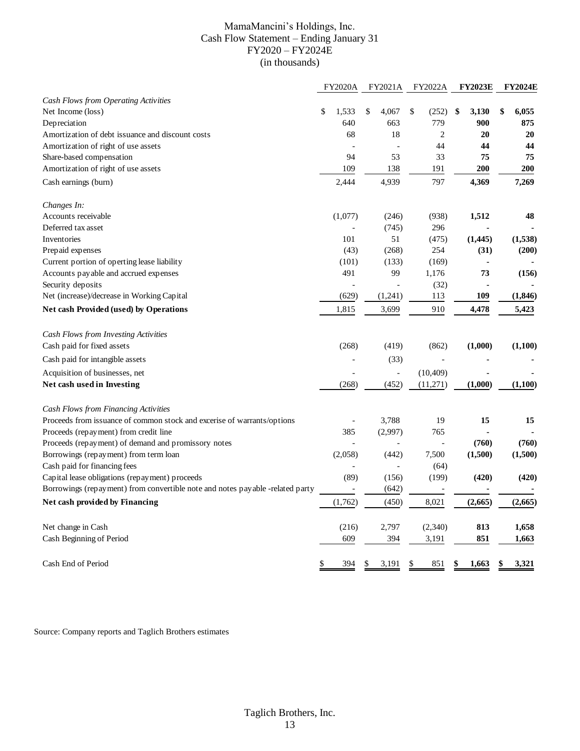#### MamaMancini's Holdings, Inc. Cash Flow Statement – Ending January 31 FY2020 – FY2024E (in thousands)

|                                                                               | <b>FY2020A</b> | FY2021A                  | <b>FY2022A</b> | <b>FY2023E</b> | <b>FY2024E</b> |
|-------------------------------------------------------------------------------|----------------|--------------------------|----------------|----------------|----------------|
| Cash Flows from Operating Activities                                          |                |                          |                |                |                |
| Net Income (loss)                                                             | \$<br>1,533    | \$<br>4,067              | \$<br>(252)    | \$<br>3,130    | \$<br>6,055    |
| Depreciation                                                                  | 640            | 663                      | 779            | 900            | 875            |
| Amortization of debt issuance and discount costs                              | 68             | 18                       | 2              | 20             | 20             |
| Amortization of right of use assets                                           |                |                          | 44             | 44             | 44             |
| Share-based compensation                                                      | 94             | 53                       | 33             | 75             | 75             |
| Amortization of right of use assets                                           | 109            | 138                      | 191            | 200            | 200            |
| Cash earnings (burn)                                                          | 2,444          | 4,939                    | 797            | 4,369          | 7,269          |
| Changes In:                                                                   |                |                          |                |                |                |
| Accounts receivable                                                           | (1,077)        | (246)                    | (938)          | 1,512          | 48             |
| Deferred tax asset                                                            |                | (745)                    | 296            |                |                |
| Inventories                                                                   | 101            | 51                       | (475)          | (1, 445)       | (1,538)        |
| Prepaid expenses                                                              | (43)           | (268)                    | 254            | (31)           | (200)          |
| Current portion of operting lease liability                                   | (101)          | (133)                    | (169)          | ä,             |                |
| Accounts payable and accrued expenses                                         | 491            | 99                       | 1,176          | 73             | (156)          |
| Security deposits                                                             |                |                          | (32)           |                |                |
| Net (increase)/decrease in Working Capital                                    | (629)          | (1,241)                  | 113            | 109            | (1, 846)       |
| Net cash Provided (used) by Operations                                        | 1,815          | 3,699                    | 910            | 4,478          | 5,423          |
| Cash Flows from Investing Activities                                          |                |                          |                |                |                |
| Cash paid for fixed assets                                                    | (268)          | (419)                    | (862)          | (1,000)        | (1,100)        |
| Cash paid for intangible assets                                               |                | (33)                     |                |                |                |
| Acquisition of businesses, net                                                | $\overline{a}$ | $\overline{\phantom{a}}$ | (10, 409)      |                |                |
| Net cash used in Investing                                                    | (268)          | (452)                    | (11,271)       | (1,000)        | (1,100)        |
| <b>Cash Flows from Financing Activities</b>                                   |                |                          |                |                |                |
| Proceeds from issuance of common stock and excerise of warrants/options       |                | 3,788                    | 19             | 15             | 15             |
| Proceeds (repayment) from credit line                                         | 385            | (2,997)                  | 765            |                |                |
| Proceeds (repayment) of demand and promissory notes                           |                |                          |                | (760)          | (760)          |
| Borrowings (repayment) from term loan                                         | (2,058)        | (442)                    | 7,500          | (1,500)        | (1,500)        |
| Cash paid for financing fees                                                  |                |                          | (64)           |                |                |
| Capital lease obligations (repayment) proceeds                                | (89)           | (156)                    | (199)          | (420)          | (420)          |
| Borrowings (repayment) from convertible note and notes payable -related party |                | (642)                    |                |                |                |
| Net cash provided by Financing                                                | (1,762)        | (450)                    | 8,021          | (2,665)        | (2,665)        |
| Net change in Cash                                                            | (216)          | 2,797                    | (2,340)        | 813            | 1,658          |
| Cash Beginning of Period                                                      | 609            | 394                      | 3,191          | 851            | 1,663          |
| Cash End of Period                                                            | \$<br>394      | 3,191<br>\$              | 851<br>\$      | 1,663          | 3,321          |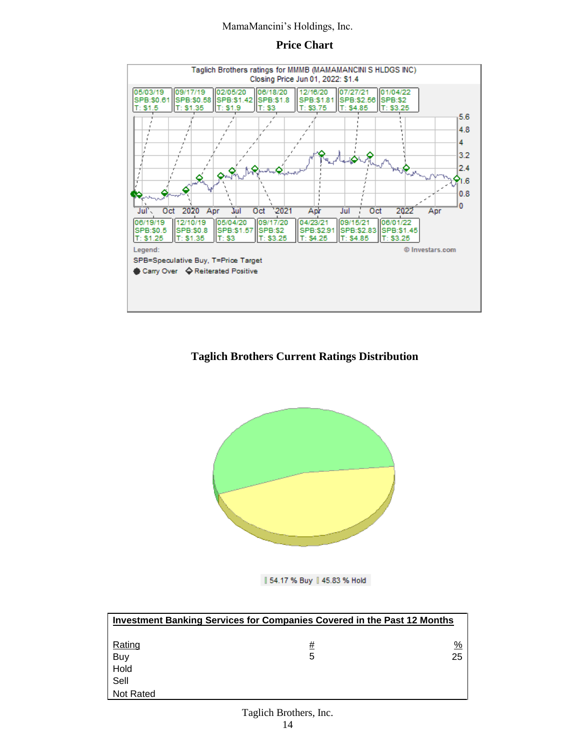#### **Price Chart**



### **Taglich Brothers Current Ratings Distribution**



| 54.17 % Buy | 45.83 % Hold

|                  | Investment Banking Services for Companies Covered in the Past 12 Months |    |
|------------------|-------------------------------------------------------------------------|----|
| Rating           | #                                                                       | %  |
| Buy              | 5                                                                       | 25 |
| Hold             |                                                                         |    |
| Sell             |                                                                         |    |
| <b>Not Rated</b> |                                                                         |    |

## Taglich Brothers, Inc.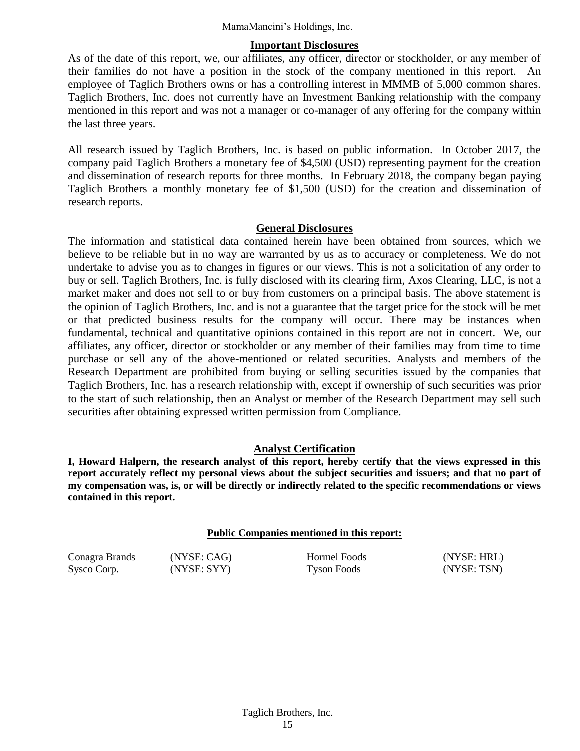#### **Important Disclosures**

As of the date of this report, we, our affiliates, any officer, director or stockholder, or any member of their families do not have a position in the stock of the company mentioned in this report. An employee of Taglich Brothers owns or has a controlling interest in MMMB of 5,000 common shares. Taglich Brothers, Inc. does not currently have an Investment Banking relationship with the company mentioned in this report and was not a manager or co-manager of any offering for the company within the last three years.

All research issued by Taglich Brothers, Inc. is based on public information. In October 2017, the company paid Taglich Brothers a monetary fee of \$4,500 (USD) representing payment for the creation and dissemination of research reports for three months. In February 2018, the company began paying Taglich Brothers a monthly monetary fee of \$1,500 (USD) for the creation and dissemination of research reports.

#### **General Disclosures**

The information and statistical data contained herein have been obtained from sources, which we believe to be reliable but in no way are warranted by us as to accuracy or completeness. We do not undertake to advise you as to changes in figures or our views. This is not a solicitation of any order to buy or sell. Taglich Brothers, Inc. is fully disclosed with its clearing firm, Axos Clearing, LLC, is not a market maker and does not sell to or buy from customers on a principal basis. The above statement is the opinion of Taglich Brothers, Inc. and is not a guarantee that the target price for the stock will be met or that predicted business results for the company will occur. There may be instances when fundamental, technical and quantitative opinions contained in this report are not in concert. We, our affiliates, any officer, director or stockholder or any member of their families may from time to time purchase or sell any of the above-mentioned or related securities. Analysts and members of the Research Department are prohibited from buying or selling securities issued by the companies that Taglich Brothers, Inc. has a research relationship with, except if ownership of such securities was prior to the start of such relationship, then an Analyst or member of the Research Department may sell such securities after obtaining expressed written permission from Compliance.

### **Analyst Certification**

**I, Howard Halpern, the research analyst of this report, hereby certify that the views expressed in this report accurately reflect my personal views about the subject securities and issuers; and that no part of my compensation was, is, or will be directly or indirectly related to the specific recommendations or views contained in this report.**

#### **Public Companies mentioned in this report:**

Conagra Brands (NYSE: CAG) Hormel Foods (NYSE: HRL)

Sysco Corp. (NYSE: SYY) Tyson Foods (NYSE: TSN)